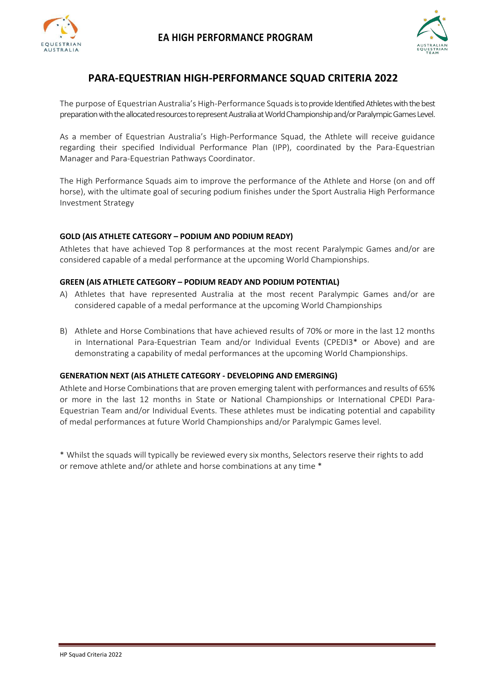



# **PARA-EQUESTRIAN HIGH-PERFORMANCE SQUAD CRITERIA 2022**

The purpose of Equestrian Australia's High-Performance Squadsis to provide Identified Athletes with the best preparation with the allocated resources to represent Australia at World Championshipand/or Paralympic Games Level.

As a member of Equestrian Australia's High-Performance Squad, the Athlete will receive guidance regarding their specified Individual Performance Plan (IPP), coordinated by the Para-Equestrian Manager and Para-Equestrian Pathways Coordinator.

The High Performance Squads aim to improve the performance of the Athlete and Horse (on and off horse), with the ultimate goal of securing podium finishes under the Sport Australia High Performance Investment Strategy

### **GOLD (AIS ATHLETE CATEGORY – PODIUM AND PODIUM READY)**

Athletes that have achieved Top 8 performances at the most recent Paralympic Games and/or are considered capable of a medal performance at the upcoming World Championships.

### **GREEN (AIS ATHLETE CATEGORY – PODIUM READY AND PODIUM POTENTIAL)**

- A) Athletes that have represented Australia at the most recent Paralympic Games and/or are considered capable of a medal performance at the upcoming World Championships
- B) Athlete and Horse Combinations that have achieved results of 70% or more in the last 12 months in International Para-Equestrian Team and/or Individual Events (CPEDI3\* or Above) and are demonstrating a capability of medal performances at the upcoming World Championships.

### **GENERATION NEXT (AIS ATHLETE CATEGORY - DEVELOPING AND EMERGING)**

Athlete and Horse Combinations that are proven emerging talent with performances and results of 65% or more in the last 12 months in State or National Championships or International CPEDI Para-Equestrian Team and/or Individual Events. These athletes must be indicating potential and capability of medal performances at future World Championships and/or Paralympic Games level.

\* Whilst the squads will typically be reviewed every six months, Selectors reserve their rights to add or remove athlete and/or athlete and horse combinations at any time \*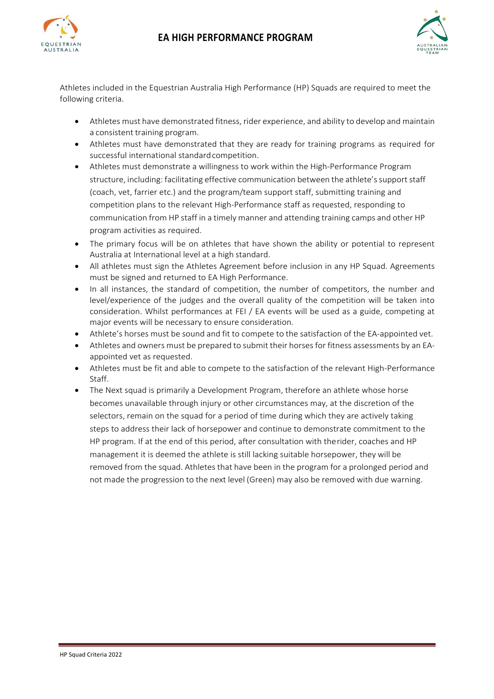



Athletes included in the Equestrian Australia High Performance (HP) Squads are required to meet the following criteria.

- Athletes must have demonstrated fitness, rider experience, and ability to develop and maintain a consistent training program.
- Athletes must have demonstrated that they are ready for training programs as required for successful international standard competition.
- Athletes must demonstrate a willingness to work within the High-Performance Program structure, including: facilitating effective communication between the athlete's support staff (coach, vet, farrier etc.) and the program/team support staff, submitting training and competition plans to the relevant High-Performance staff as requested, responding to communication from HP staff in a timely manner and attending training camps and other HP program activities as required.
- The primary focus will be on athletes that have shown the ability or potential to represent Australia at International level at a high standard.
- All athletes must sign the Athletes Agreement before inclusion in any HP Squad. Agreements must be signed and returned to EA High Performance.
- In all instances, the standard of competition, the number of competitors, the number and level/experience of the judges and the overall quality of the competition will be taken into consideration. Whilst performances at FEI / EA events will be used as a guide, competing at major events will be necessary to ensure consideration.
- Athlete's horses must be sound and fit to compete to the satisfaction of the EA-appointed vet.
- Athletes and owners must be prepared to submit their horses for fitness assessments by an EAappointed vet as requested.
- Athletes must be fit and able to compete to the satisfaction of the relevant High-Performance Staff.
- The Next squad is primarily a Development Program, therefore an athlete whose horse becomes unavailable through injury or other circumstances may, at the discretion of the selectors, remain on the squad for a period of time during which they are actively taking steps to address their lack of horsepower and continue to demonstrate commitment to the HP program. If at the end of this period, after consultation with therider, coaches and HP management it is deemed the athlete is still lacking suitable horsepower, they will be removed from the squad. Athletes that have been in the program for a prolonged period and not made the progression to the next level (Green) may also be removed with due warning.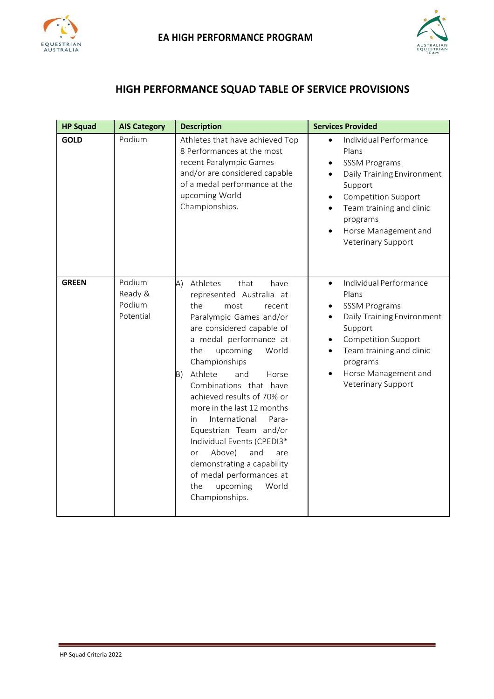



# **HIGH PERFORMANCE SQUAD TABLE OF SERVICE PROVISIONS**

| <b>HP Squad</b> | <b>AIS Category</b>                      | <b>Description</b>                                                                                                                                                                                                                                                                                                                                                                                                                                                                                                                                                        | <b>Services Provided</b>                                                                                                                                                                                                                            |
|-----------------|------------------------------------------|---------------------------------------------------------------------------------------------------------------------------------------------------------------------------------------------------------------------------------------------------------------------------------------------------------------------------------------------------------------------------------------------------------------------------------------------------------------------------------------------------------------------------------------------------------------------------|-----------------------------------------------------------------------------------------------------------------------------------------------------------------------------------------------------------------------------------------------------|
| <b>GOLD</b>     | Podium                                   | Athletes that have achieved Top<br>8 Performances at the most<br>recent Paralympic Games<br>and/or are considered capable<br>of a medal performance at the<br>upcoming World<br>Championships.                                                                                                                                                                                                                                                                                                                                                                            | Individual Performance<br>$\bullet$<br>Plans<br><b>SSSM Programs</b><br>Daily Training Environment<br>$\bullet$<br>Support<br><b>Competition Support</b><br>٠<br>Team training and clinic<br>programs<br>Horse Management and<br>Veterinary Support |
| <b>GREEN</b>    | Podium<br>Ready &<br>Podium<br>Potential | (A)<br>Athletes<br>that<br>have<br>represented Australia at<br>the<br>most<br>recent<br>Paralympic Games and/or<br>are considered capable of<br>a medal performance at<br>upcoming<br>World<br>the<br>Championships<br>Athlete<br>B)<br>and<br>Horse<br>Combinations that have<br>achieved results of 70% or<br>more in the last 12 months<br>International<br>Para-<br>in.<br>Equestrian Team and/or<br>Individual Events (CPEDI3*<br>Above)<br>and<br>or<br>are<br>demonstrating a capability<br>of medal performances at<br>upcoming<br>World<br>the<br>Championships. | Individual Performance<br>$\bullet$<br>Plans<br><b>SSSM Programs</b><br>Daily Training Environment<br>Support<br><b>Competition Support</b><br>$\bullet$<br>Team training and clinic<br>programs<br>Horse Management and<br>Veterinary Support      |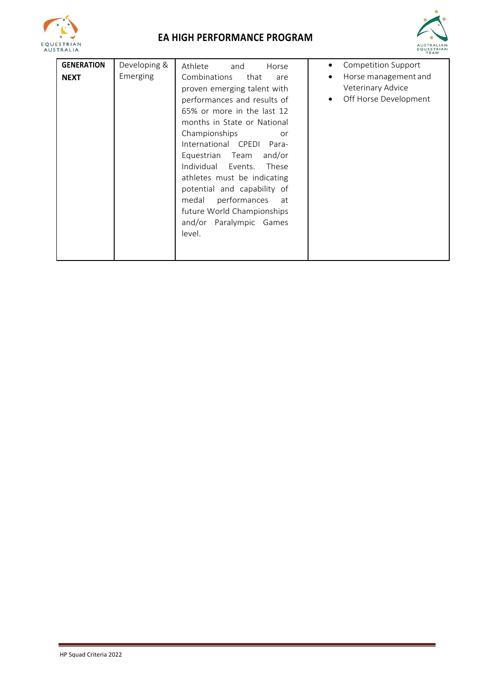

# **EA HIGH PERFORMANCE PROGRAM**



| <b>GENERATION</b> | Developing & | Athlete<br>and<br>Horse                                                                                                                                                                                                                                                                                                                                                                                                             | Competition Support<br>٠                                                             |
|-------------------|--------------|-------------------------------------------------------------------------------------------------------------------------------------------------------------------------------------------------------------------------------------------------------------------------------------------------------------------------------------------------------------------------------------------------------------------------------------|--------------------------------------------------------------------------------------|
| <b>NEXT</b>       | Emerging     | Combinations<br>that<br>are<br>proven emerging talent with<br>performances and results of<br>65% or more in the last 12<br>months in State or National<br>Championships<br>or<br>International CPEDI Para-<br>Equestrian Team<br>and/or<br>Individual Events. These<br>athletes must be indicating<br>potential and capability of<br>performances<br>medal<br>at<br>future World Championships<br>and/or Paralympic Games<br>level. | Horse management and<br>$\bullet$<br>Veterinary Advice<br>Off Horse Development<br>٠ |